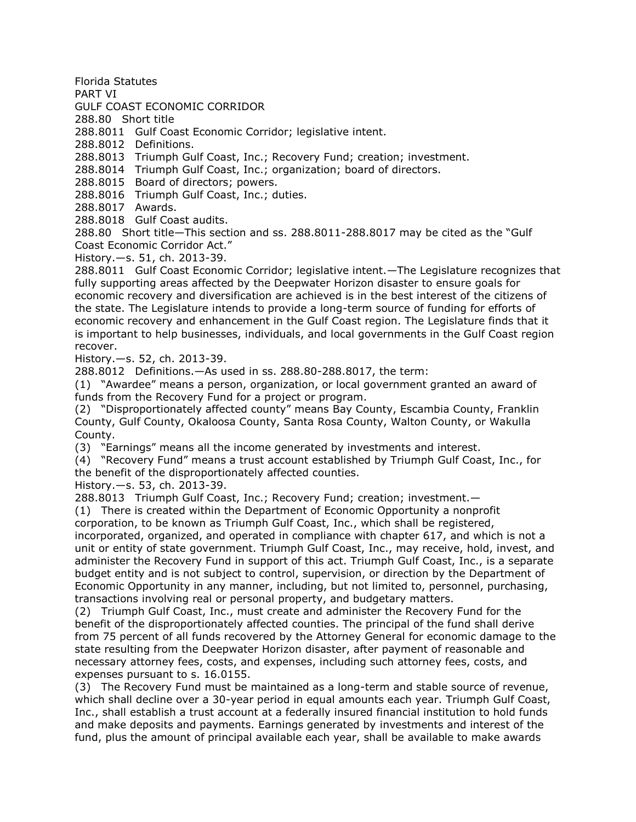Florida Statutes

PART VI

GULF COAST ECONOMIC CORRIDOR

288.80 Short title

288.8011 Gulf Coast Economic Corridor; legislative intent.

288.8012 Definitions.

288.8013 Triumph Gulf Coast, Inc.; Recovery Fund; creation; investment.

288.8014 Triumph Gulf Coast, Inc.; organization; board of directors.

288.8015 Board of directors; powers.

288.8016 Triumph Gulf Coast, Inc.; duties.

288.8017 Awards.

288.8018 Gulf Coast audits.

288.80 Short title—This section and ss. 288.8011-288.8017 may be cited as the "Gulf Coast Economic Corridor Act."

History.—s. 51, ch. 2013-39.

288.8011 Gulf Coast Economic Corridor; legislative intent.—The Legislature recognizes that fully supporting areas affected by the Deepwater Horizon disaster to ensure goals for economic recovery and diversification are achieved is in the best interest of the citizens of the state. The Legislature intends to provide a long-term source of funding for efforts of economic recovery and enhancement in the Gulf Coast region. The Legislature finds that it is important to help businesses, individuals, and local governments in the Gulf Coast region recover.

History.—s. 52, ch. 2013-39.

288.8012 Definitions.—As used in ss. 288.80-288.8017, the term:

(1) "Awardee" means a person, organization, or local government granted an award of funds from the Recovery Fund for a project or program.

(2) "Disproportionately affected county" means Bay County, Escambia County, Franklin County, Gulf County, Okaloosa County, Santa Rosa County, Walton County, or Wakulla County.

(3) "Earnings" means all the income generated by investments and interest.

(4) "Recovery Fund" means a trust account established by Triumph Gulf Coast, Inc., for the benefit of the disproportionately affected counties.

History.—s. 53, ch. 2013-39.

288.8013 Triumph Gulf Coast, Inc.; Recovery Fund; creation; investment.—

(1) There is created within the Department of Economic Opportunity a nonprofit

corporation, to be known as Triumph Gulf Coast, Inc., which shall be registered,

incorporated, organized, and operated in compliance with chapter 617, and which is not a unit or entity of state government. Triumph Gulf Coast, Inc., may receive, hold, invest, and administer the Recovery Fund in support of this act. Triumph Gulf Coast, Inc., is a separate budget entity and is not subject to control, supervision, or direction by the Department of Economic Opportunity in any manner, including, but not limited to, personnel, purchasing, transactions involving real or personal property, and budgetary matters.

(2) Triumph Gulf Coast, Inc., must create and administer the Recovery Fund for the benefit of the disproportionately affected counties. The principal of the fund shall derive from 75 percent of all funds recovered by the Attorney General for economic damage to the state resulting from the Deepwater Horizon disaster, after payment of reasonable and necessary attorney fees, costs, and expenses, including such attorney fees, costs, and expenses pursuant to s. 16.0155.

(3) The Recovery Fund must be maintained as a long-term and stable source of revenue, which shall decline over a 30-year period in equal amounts each year. Triumph Gulf Coast, Inc., shall establish a trust account at a federally insured financial institution to hold funds and make deposits and payments. Earnings generated by investments and interest of the fund, plus the amount of principal available each year, shall be available to make awards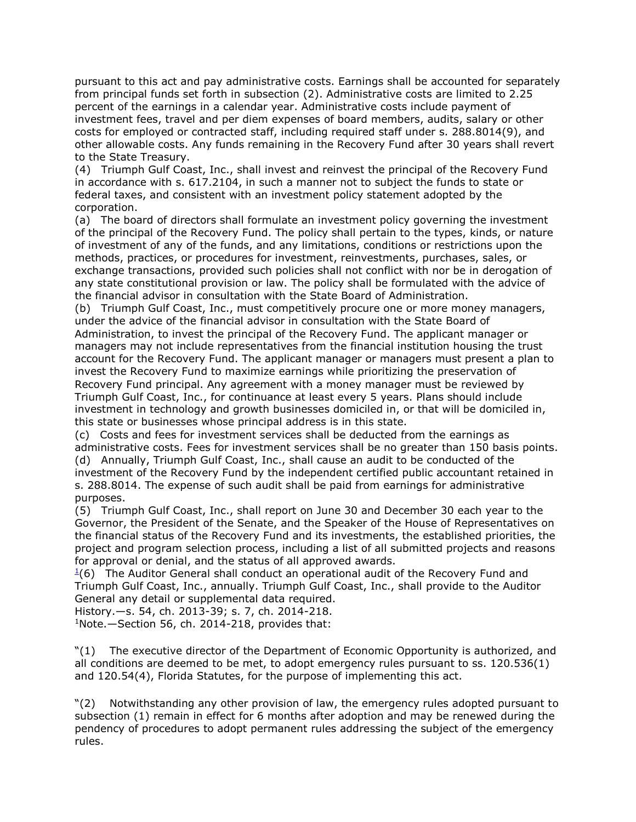pursuant to this act and pay administrative costs. Earnings shall be accounted for separately from principal funds set forth in subsection (2). Administrative costs are limited to 2.25 percent of the earnings in a calendar year. Administrative costs include payment of investment fees, travel and per diem expenses of board members, audits, salary or other costs for employed or contracted staff, including required staff under s. 288.8014(9), and other allowable costs. Any funds remaining in the Recovery Fund after 30 years shall revert to the State Treasury.

(4) Triumph Gulf Coast, Inc., shall invest and reinvest the principal of the Recovery Fund in accordance with s. 617.2104, in such a manner not to subject the funds to state or federal taxes, and consistent with an investment policy statement adopted by the corporation.

(a) The board of directors shall formulate an investment policy governing the investment of the principal of the Recovery Fund. The policy shall pertain to the types, kinds, or nature of investment of any of the funds, and any limitations, conditions or restrictions upon the methods, practices, or procedures for investment, reinvestments, purchases, sales, or exchange transactions, provided such policies shall not conflict with nor be in derogation of any state constitutional provision or law. The policy shall be formulated with the advice of the financial advisor in consultation with the State Board of Administration.

(b) Triumph Gulf Coast, Inc., must competitively procure one or more money managers, under the advice of the financial advisor in consultation with the State Board of Administration, to invest the principal of the Recovery Fund. The applicant manager or managers may not include representatives from the financial institution housing the trust account for the Recovery Fund. The applicant manager or managers must present a plan to invest the Recovery Fund to maximize earnings while prioritizing the preservation of Recovery Fund principal. Any agreement with a money manager must be reviewed by Triumph Gulf Coast, Inc., for continuance at least every 5 years. Plans should include investment in technology and growth businesses domiciled in, or that will be domiciled in, this state or businesses whose principal address is in this state.

(c) Costs and fees for investment services shall be deducted from the earnings as administrative costs. Fees for investment services shall be no greater than 150 basis points. (d) Annually, Triumph Gulf Coast, Inc., shall cause an audit to be conducted of the investment of the Recovery Fund by the independent certified public accountant retained in s. 288.8014. The expense of such audit shall be paid from earnings for administrative purposes.

(5) Triumph Gulf Coast, Inc., shall report on June 30 and December 30 each year to the Governor, the President of the Senate, and the Speaker of the House of Representatives on the financial status of the Recovery Fund and its investments, the established priorities, the project and program selection process, including a list of all submitted projects and reasons for approval or denial, and the status of all approved awards.

 $\frac{1}{6}$  $\frac{1}{6}$  $\frac{1}{6}$  The Auditor General shall conduct an operational audit of the Recovery Fund and Triumph Gulf Coast, Inc., annually. Triumph Gulf Coast, Inc., shall provide to the Auditor General any detail or supplemental data required.

History.—s. 54, ch. 2013-39; s. 7, ch. 2014-218.

 $1$ Note.  $-$  Section 56, ch. 2014-218, provides that:

"(1) The executive director of the Department of Economic Opportunity is authorized, and all conditions are deemed to be met, to adopt emergency rules pursuant to ss. 120.536(1) and 120.54(4), Florida Statutes, for the purpose of implementing this act.

"(2) Notwithstanding any other provision of law, the emergency rules adopted pursuant to subsection (1) remain in effect for 6 months after adoption and may be renewed during the pendency of procedures to adopt permanent rules addressing the subject of the emergency rules.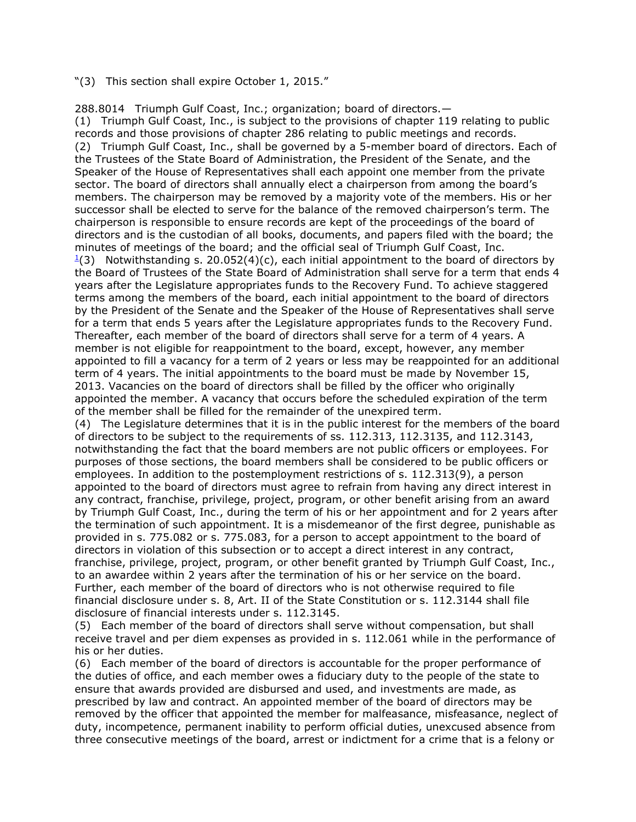"(3) This section shall expire October 1, 2015."

288.8014 Triumph Gulf Coast, Inc.; organization; board of directors.— (1) Triumph Gulf Coast, Inc., is subject to the provisions of chapter 119 relating to public records and those provisions of chapter 286 relating to public meetings and records. (2) Triumph Gulf Coast, Inc., shall be governed by a 5-member board of directors. Each of the Trustees of the State Board of Administration, the President of the Senate, and the Speaker of the House of Representatives shall each appoint one member from the private sector. The board of directors shall annually elect a chairperson from among the board's members. The chairperson may be removed by a majority vote of the members. His or her successor shall be elected to serve for the balance of the removed chairperson's term. The chairperson is responsible to ensure records are kept of the proceedings of the board of directors and is the custodian of all books, documents, and papers filed with the board; the minutes of meetings of the board; and the official seal of Triumph Gulf Coast, Inc.  $\frac{1}{2}$  $\frac{1}{2}$  $\frac{1}{2}$ (3) Notwithstanding s. 20.052(4)(c), each initial appointment to the board of directors by the Board of Trustees of the State Board of Administration shall serve for a term that ends 4 years after the Legislature appropriates funds to the Recovery Fund. To achieve staggered terms among the members of the board, each initial appointment to the board of directors by the President of the Senate and the Speaker of the House of Representatives shall serve for a term that ends 5 years after the Legislature appropriates funds to the Recovery Fund. Thereafter, each member of the board of directors shall serve for a term of 4 years. A member is not eligible for reappointment to the board, except, however, any member appointed to fill a vacancy for a term of 2 years or less may be reappointed for an additional term of 4 years. The initial appointments to the board must be made by November 15, 2013. Vacancies on the board of directors shall be filled by the officer who originally appointed the member. A vacancy that occurs before the scheduled expiration of the term of the member shall be filled for the remainder of the unexpired term. (4) The Legislature determines that it is in the public interest for the members of the board of directors to be subject to the requirements of ss. 112.313, 112.3135, and 112.3143, notwithstanding the fact that the board members are not public officers or employees. For purposes of those sections, the board members shall be considered to be public officers or employees. In addition to the postemployment restrictions of s. 112.313(9), a person

appointed to the board of directors must agree to refrain from having any direct interest in any contract, franchise, privilege, project, program, or other benefit arising from an award by Triumph Gulf Coast, Inc., during the term of his or her appointment and for 2 years after the termination of such appointment. It is a misdemeanor of the first degree, punishable as provided in s. 775.082 or s. 775.083, for a person to accept appointment to the board of directors in violation of this subsection or to accept a direct interest in any contract, franchise, privilege, project, program, or other benefit granted by Triumph Gulf Coast, Inc., to an awardee within 2 years after the termination of his or her service on the board. Further, each member of the board of directors who is not otherwise required to file financial disclosure under s. 8, Art. II of the State Constitution or s. 112.3144 shall file disclosure of financial interests under s. 112.3145.

(5) Each member of the board of directors shall serve without compensation, but shall receive travel and per diem expenses as provided in s. 112.061 while in the performance of his or her duties.

(6) Each member of the board of directors is accountable for the proper performance of the duties of office, and each member owes a fiduciary duty to the people of the state to ensure that awards provided are disbursed and used, and investments are made, as prescribed by law and contract. An appointed member of the board of directors may be removed by the officer that appointed the member for malfeasance, misfeasance, neglect of duty, incompetence, permanent inability to perform official duties, unexcused absence from three consecutive meetings of the board, arrest or indictment for a crime that is a felony or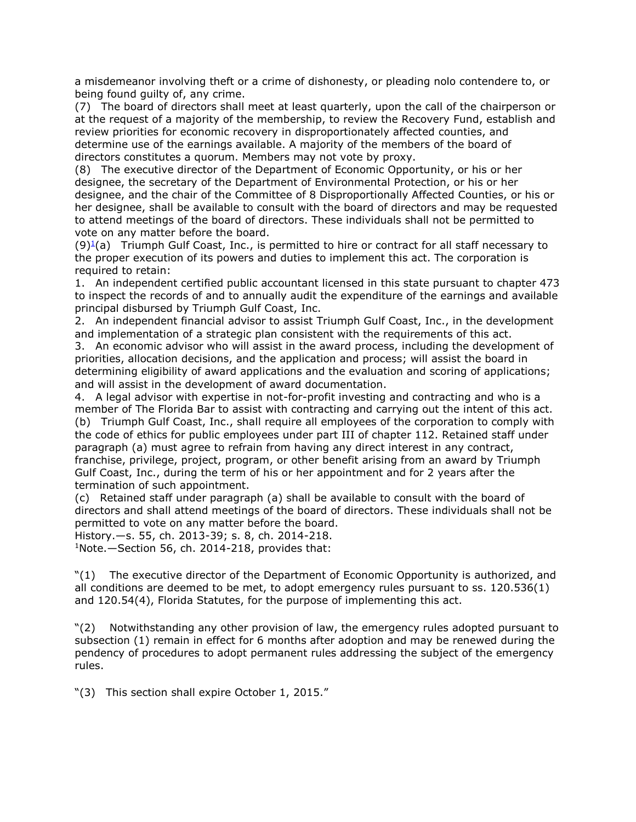a misdemeanor involving theft or a crime of dishonesty, or pleading nolo contendere to, or being found guilty of, any crime.

(7) The board of directors shall meet at least quarterly, upon the call of the chairperson or at the request of a majority of the membership, to review the Recovery Fund, establish and review priorities for economic recovery in disproportionately affected counties, and determine use of the earnings available. A majority of the members of the board of directors constitutes a quorum. Members may not vote by proxy.

(8) The executive director of the Department of Economic Opportunity, or his or her designee, the secretary of the Department of Environmental Protection, or his or her designee, and the chair of the Committee of 8 Disproportionally Affected Counties, or his or her designee, shall be available to consult with the board of directors and may be requested to attend meetings of the board of directors. These individuals shall not be permitted to vote on any matter before the board.

 $(9)^{\underline{1}}$  $(9)^{\underline{1}}$  $(9)^{\underline{1}}$ (a) Triumph Gulf Coast, Inc., is permitted to hire or contract for all staff necessary to the proper execution of its powers and duties to implement this act. The corporation is required to retain:

1. An independent certified public accountant licensed in this state pursuant to chapter 473 to inspect the records of and to annually audit the expenditure of the earnings and available principal disbursed by Triumph Gulf Coast, Inc.

2. An independent financial advisor to assist Triumph Gulf Coast, Inc., in the development and implementation of a strategic plan consistent with the requirements of this act.

3. An economic advisor who will assist in the award process, including the development of priorities, allocation decisions, and the application and process; will assist the board in determining eligibility of award applications and the evaluation and scoring of applications; and will assist in the development of award documentation.

4. A legal advisor with expertise in not-for-profit investing and contracting and who is a member of The Florida Bar to assist with contracting and carrying out the intent of this act. (b) Triumph Gulf Coast, Inc., shall require all employees of the corporation to comply with the code of ethics for public employees under part III of chapter 112. Retained staff under paragraph (a) must agree to refrain from having any direct interest in any contract, franchise, privilege, project, program, or other benefit arising from an award by Triumph Gulf Coast, Inc., during the term of his or her appointment and for 2 years after the termination of such appointment.

(c) Retained staff under paragraph (a) shall be available to consult with the board of directors and shall attend meetings of the board of directors. These individuals shall not be permitted to vote on any matter before the board.

History.—s. 55, ch. 2013-39; s. 8, ch. 2014-218.

<sup>1</sup>Note.—Section 56, ch. 2014-218, provides that:

"(1) The executive director of the Department of Economic Opportunity is authorized, and all conditions are deemed to be met, to adopt emergency rules pursuant to ss. 120.536(1) and 120.54(4), Florida Statutes, for the purpose of implementing this act.

"(2) Notwithstanding any other provision of law, the emergency rules adopted pursuant to subsection (1) remain in effect for 6 months after adoption and may be renewed during the pendency of procedures to adopt permanent rules addressing the subject of the emergency rules.

"(3) This section shall expire October 1, 2015."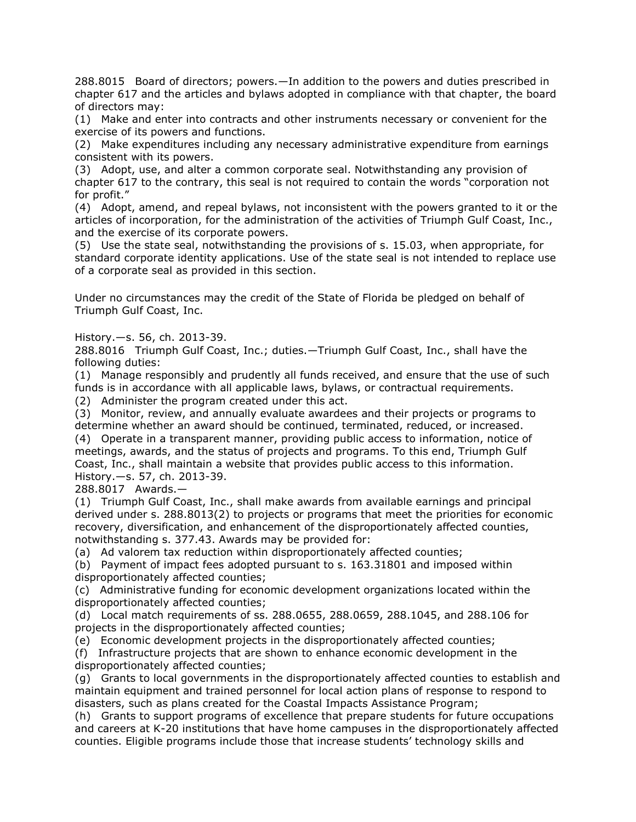288.8015 Board of directors; powers.—In addition to the powers and duties prescribed in chapter 617 and the articles and bylaws adopted in compliance with that chapter, the board of directors may:

(1) Make and enter into contracts and other instruments necessary or convenient for the exercise of its powers and functions.

(2) Make expenditures including any necessary administrative expenditure from earnings consistent with its powers.

(3) Adopt, use, and alter a common corporate seal. Notwithstanding any provision of chapter 617 to the contrary, this seal is not required to contain the words "corporation not for profit."

(4) Adopt, amend, and repeal bylaws, not inconsistent with the powers granted to it or the articles of incorporation, for the administration of the activities of Triumph Gulf Coast, Inc., and the exercise of its corporate powers.

(5) Use the state seal, notwithstanding the provisions of s. 15.03, when appropriate, for standard corporate identity applications. Use of the state seal is not intended to replace use of a corporate seal as provided in this section.

Under no circumstances may the credit of the State of Florida be pledged on behalf of Triumph Gulf Coast, Inc.

History.—s. 56, ch. 2013-39.

288.8016 Triumph Gulf Coast, Inc.; duties.—Triumph Gulf Coast, Inc., shall have the following duties:

(1) Manage responsibly and prudently all funds received, and ensure that the use of such funds is in accordance with all applicable laws, bylaws, or contractual requirements.

(2) Administer the program created under this act.

(3) Monitor, review, and annually evaluate awardees and their projects or programs to determine whether an award should be continued, terminated, reduced, or increased.

(4) Operate in a transparent manner, providing public access to information, notice of meetings, awards, and the status of projects and programs. To this end, Triumph Gulf Coast, Inc., shall maintain a website that provides public access to this information. History.—s. 57, ch. 2013-39.

288.8017 Awards.—

(1) Triumph Gulf Coast, Inc., shall make awards from available earnings and principal derived under s. 288.8013(2) to projects or programs that meet the priorities for economic recovery, diversification, and enhancement of the disproportionately affected counties, notwithstanding s. 377.43. Awards may be provided for:

(a) Ad valorem tax reduction within disproportionately affected counties;

(b) Payment of impact fees adopted pursuant to s. 163.31801 and imposed within disproportionately affected counties;

(c) Administrative funding for economic development organizations located within the disproportionately affected counties;

(d) Local match requirements of ss. 288.0655, 288.0659, 288.1045, and 288.106 for projects in the disproportionately affected counties;

(e) Economic development projects in the disproportionately affected counties;

(f) Infrastructure projects that are shown to enhance economic development in the disproportionately affected counties;

(g) Grants to local governments in the disproportionately affected counties to establish and maintain equipment and trained personnel for local action plans of response to respond to disasters, such as plans created for the Coastal Impacts Assistance Program;

(h) Grants to support programs of excellence that prepare students for future occupations and careers at K-20 institutions that have home campuses in the disproportionately affected counties. Eligible programs include those that increase students' technology skills and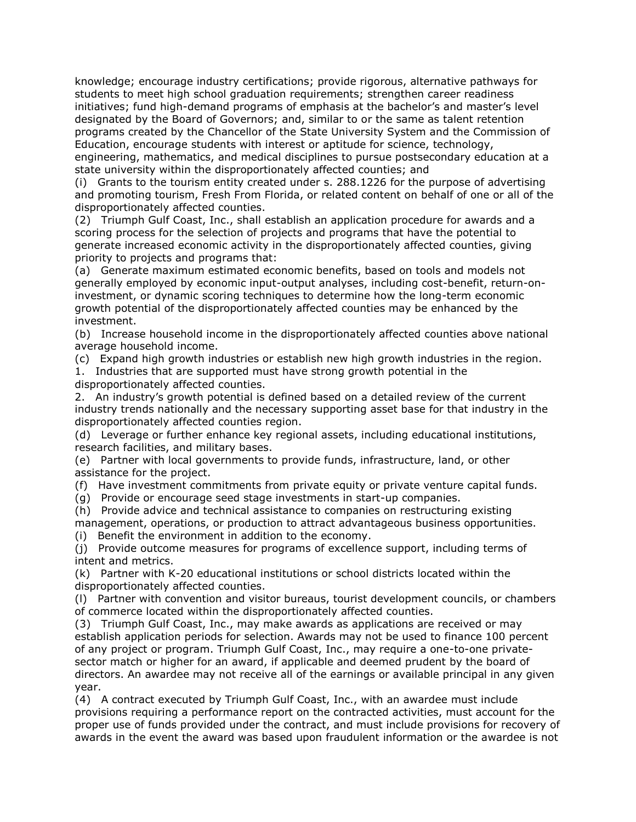knowledge; encourage industry certifications; provide rigorous, alternative pathways for students to meet high school graduation requirements; strengthen career readiness initiatives; fund high-demand programs of emphasis at the bachelor's and master's level designated by the Board of Governors; and, similar to or the same as talent retention programs created by the Chancellor of the State University System and the Commission of Education, encourage students with interest or aptitude for science, technology, engineering, mathematics, and medical disciplines to pursue postsecondary education at a

state university within the disproportionately affected counties; and (i) Grants to the tourism entity created under s. 288.1226 for the purpose of advertising and promoting tourism, Fresh From Florida, or related content on behalf of one or all of the

disproportionately affected counties.

(2) Triumph Gulf Coast, Inc., shall establish an application procedure for awards and a scoring process for the selection of projects and programs that have the potential to generate increased economic activity in the disproportionately affected counties, giving priority to projects and programs that:

(a) Generate maximum estimated economic benefits, based on tools and models not generally employed by economic input-output analyses, including cost-benefit, return-oninvestment, or dynamic scoring techniques to determine how the long-term economic growth potential of the disproportionately affected counties may be enhanced by the investment.

(b) Increase household income in the disproportionately affected counties above national average household income.

(c) Expand high growth industries or establish new high growth industries in the region.

1. Industries that are supported must have strong growth potential in the disproportionately affected counties.

2. An industry's growth potential is defined based on a detailed review of the current industry trends nationally and the necessary supporting asset base for that industry in the disproportionately affected counties region.

(d) Leverage or further enhance key regional assets, including educational institutions, research facilities, and military bases.

(e) Partner with local governments to provide funds, infrastructure, land, or other assistance for the project.

(f) Have investment commitments from private equity or private venture capital funds.

(g) Provide or encourage seed stage investments in start-up companies.

(h) Provide advice and technical assistance to companies on restructuring existing

management, operations, or production to attract advantageous business opportunities. (i) Benefit the environment in addition to the economy.

(j) Provide outcome measures for programs of excellence support, including terms of intent and metrics.

(k) Partner with K-20 educational institutions or school districts located within the disproportionately affected counties.

(l) Partner with convention and visitor bureaus, tourist development councils, or chambers of commerce located within the disproportionately affected counties.

(3) Triumph Gulf Coast, Inc., may make awards as applications are received or may establish application periods for selection. Awards may not be used to finance 100 percent of any project or program. Triumph Gulf Coast, Inc., may require a one-to-one privatesector match or higher for an award, if applicable and deemed prudent by the board of directors. An awardee may not receive all of the earnings or available principal in any given year.

(4) A contract executed by Triumph Gulf Coast, Inc., with an awardee must include provisions requiring a performance report on the contracted activities, must account for the proper use of funds provided under the contract, and must include provisions for recovery of awards in the event the award was based upon fraudulent information or the awardee is not